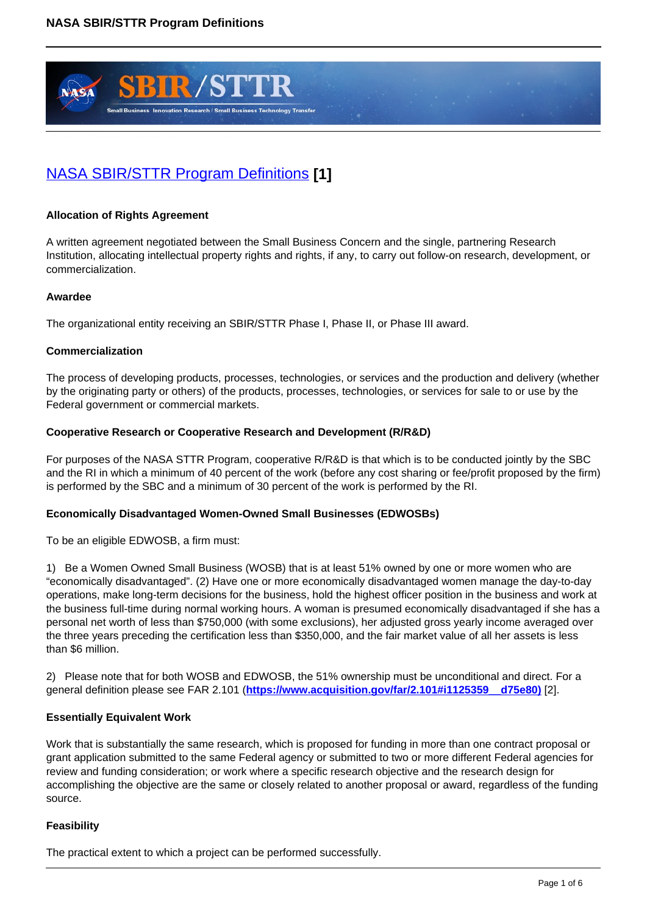

# [NASA SBIR/STTR Program Definitions](https://sbir.gsfc.nasa.gov/content/nasa-sbirsttr-program-definitions) **[1]**

# **Allocation of Rights Agreement**

A written agreement negotiated between the Small Business Concern and the single, partnering Research Institution, allocating intellectual property rights and rights, if any, to carry out follow-on research, development, or commercialization.

## **Awardee**

The organizational entity receiving an SBIR/STTR Phase I, Phase II, or Phase III award.

## **Commercialization**

The process of developing products, processes, technologies, or services and the production and delivery (whether by the originating party or others) of the products, processes, technologies, or services for sale to or use by the Federal government or commercial markets.

## **Cooperative Research or Cooperative Research and Development (R/R&D)**

For purposes of the NASA STTR Program, cooperative R/R&D is that which is to be conducted jointly by the SBC and the RI in which a minimum of 40 percent of the work (before any cost sharing or fee/profit proposed by the firm) is performed by the SBC and a minimum of 30 percent of the work is performed by the RI.

## **Economically Disadvantaged Women-Owned Small Businesses (EDWOSBs)**

To be an eligible EDWOSB, a firm must:

1) Be a Women Owned Small Business (WOSB) that is at least 51% owned by one or more women who are "economically disadvantaged". (2) Have one or more economically disadvantaged women manage the day-to-day operations, make long-term decisions for the business, hold the highest officer position in the business and work at the business full-time during normal working hours. A woman is presumed economically disadvantaged if she has a personal net worth of less than \$750,000 (with some exclusions), her adjusted gross yearly income averaged over the three years preceding the certification less than \$350,000, and the fair market value of all her assets is less than \$6 million.

2) Please note that for both WOSB and EDWOSB, the 51% ownership must be unconditional and direct. For a general definition please see FAR 2.101 (**https://www.acquisition.gov/far/2.101#i1125359\_\_d75e80)** [2].

## **Essentially Equivalent Work**

Work that is substantially the same research, which is proposed for funding in more than one contract proposal or grant application submitted to the same Federal agency or submitted to two or more different Federal agencies for review and funding consideration; or work where a specific research objective and the research design for accomplishing the objective are the same or closely related to another proposal or award, regardless of the funding source.

# **Feasibility**

The practical extent to which a project can be performed successfully.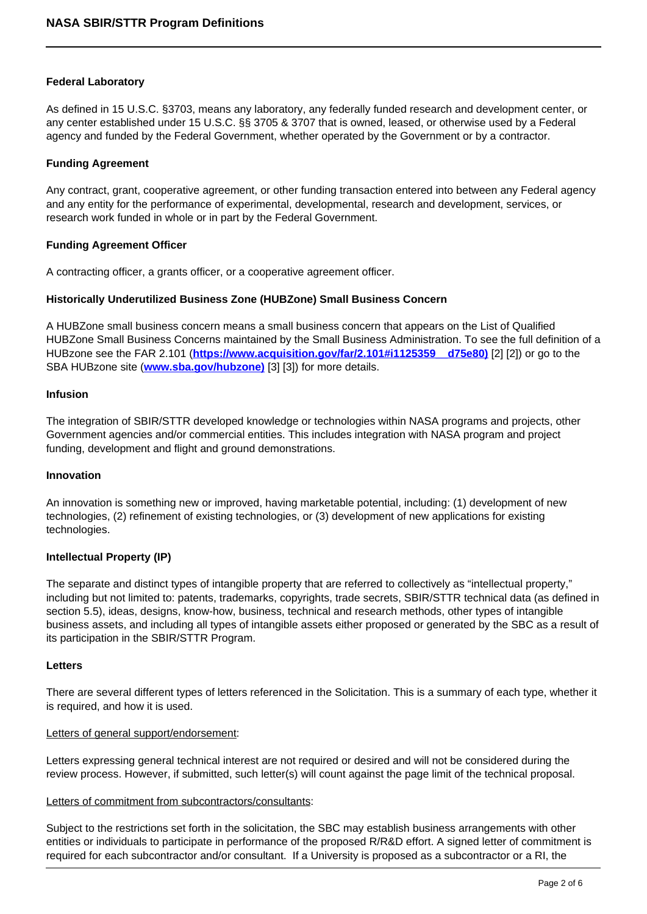## **Federal Laboratory**

As defined in 15 U.S.C. §3703, means any laboratory, any federally funded research and development center, or any center established under 15 U.S.C. §§ 3705 & 3707 that is owned, leased, or otherwise used by a Federal agency and funded by the Federal Government, whether operated by the Government or by a contractor.

#### **Funding Agreement**

Any contract, grant, cooperative agreement, or other funding transaction entered into between any Federal agency and any entity for the performance of experimental, developmental, research and development, services, or research work funded in whole or in part by the Federal Government.

#### **Funding Agreement Officer**

A contracting officer, a grants officer, or a cooperative agreement officer.

## **Historically Underutilized Business Zone (HUBZone) Small Business Concern**

A HUBZone small business concern means a small business concern that appears on the List of Qualified HUBZone Small Business Concerns maintained by the Small Business Administration. To see the full definition of a HUBzone see the FAR 2.101 (**https://www.acquisition.gov/far/2.101#i1125359\_\_d75e80)** [2] [2]) or go to the SBA HUBzone site (**www.sba.gov/hubzone)** [3] [3]) for more details.

#### **Infusion**

The integration of SBIR/STTR developed knowledge or technologies within NASA programs and projects, other Government agencies and/or commercial entities. This includes integration with NASA program and project funding, development and flight and ground demonstrations.

#### **Innovation**

An innovation is something new or improved, having marketable potential, including: (1) development of new technologies, (2) refinement of existing technologies, or (3) development of new applications for existing technologies.

## **Intellectual Property (IP)**

The separate and distinct types of intangible property that are referred to collectively as "intellectual property," including but not limited to: patents, trademarks, copyrights, trade secrets, SBIR/STTR technical data (as defined in section 5.5), ideas, designs, know-how, business, technical and research methods, other types of intangible business assets, and including all types of intangible assets either proposed or generated by the SBC as a result of its participation in the SBIR/STTR Program.

#### **Letters**

There are several different types of letters referenced in the Solicitation. This is a summary of each type, whether it is required, and how it is used.

## Letters of general support/endorsement:

Letters expressing general technical interest are not required or desired and will not be considered during the review process. However, if submitted, such letter(s) will count against the page limit of the technical proposal.

#### Letters of commitment from subcontractors/consultants:

Subject to the restrictions set forth in the solicitation, the SBC may establish business arrangements with other entities or individuals to participate in performance of the proposed R/R&D effort. A signed letter of commitment is required for each subcontractor and/or consultant. If a University is proposed as a subcontractor or a RI, the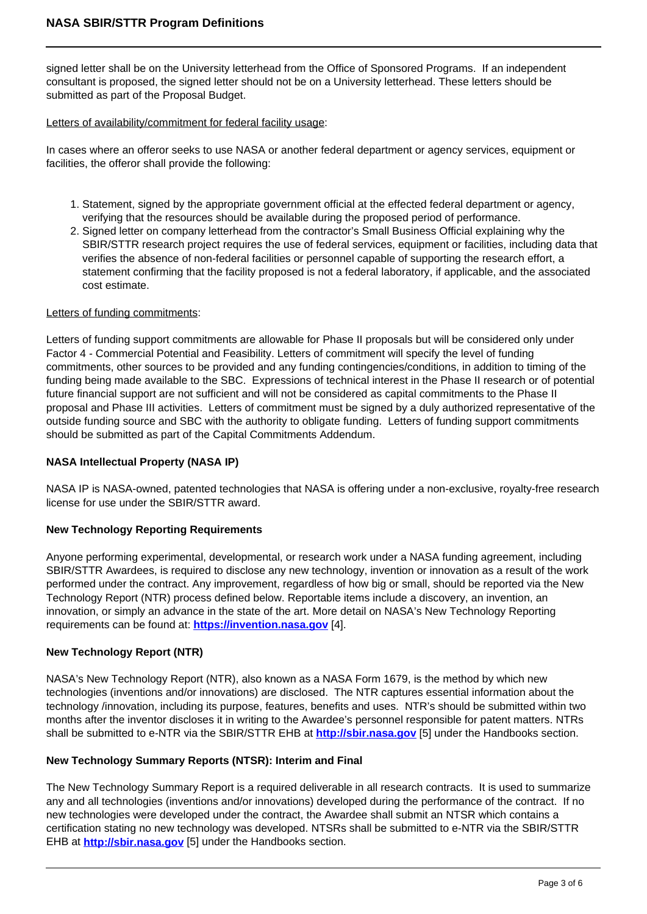signed letter shall be on the University letterhead from the Office of Sponsored Programs. If an independent consultant is proposed, the signed letter should not be on a University letterhead. These letters should be submitted as part of the Proposal Budget.

## Letters of availability/commitment for federal facility usage:

In cases where an offeror seeks to use NASA or another federal department or agency services, equipment or facilities, the offeror shall provide the following:

- 1. Statement, signed by the appropriate government official at the effected federal department or agency, verifying that the resources should be available during the proposed period of performance.
- 2. Signed letter on company letterhead from the contractor's Small Business Official explaining why the SBIR/STTR research project requires the use of federal services, equipment or facilities, including data that verifies the absence of non-federal facilities or personnel capable of supporting the research effort, a statement confirming that the facility proposed is not a federal laboratory, if applicable, and the associated cost estimate.

## Letters of funding commitments:

Letters of funding support commitments are allowable for Phase II proposals but will be considered only under Factor 4 - Commercial Potential and Feasibility. Letters of commitment will specify the level of funding commitments, other sources to be provided and any funding contingencies/conditions, in addition to timing of the funding being made available to the SBC. Expressions of technical interest in the Phase II research or of potential future financial support are not sufficient and will not be considered as capital commitments to the Phase II proposal and Phase III activities. Letters of commitment must be signed by a duly authorized representative of the outside funding source and SBC with the authority to obligate funding. Letters of funding support commitments should be submitted as part of the Capital Commitments Addendum.

## **NASA Intellectual Property (NASA IP)**

NASA IP is NASA-owned, patented technologies that NASA is offering under a non-exclusive, royalty-free research license for use under the SBIR/STTR award.

## **New Technology Reporting Requirements**

Anyone performing experimental, developmental, or research work under a NASA funding agreement, including SBIR/STTR Awardees, is required to disclose any new technology, invention or innovation as a result of the work performed under the contract. Any improvement, regardless of how big or small, should be reported via the New Technology Report (NTR) process defined below. Reportable items include a discovery, an invention, an innovation, or simply an advance in the state of the art. More detail on NASA's New Technology Reporting requirements can be found at: **https://invention.nasa.gov** [4].

## **New Technology Report (NTR)**

NASA's New Technology Report (NTR), also known as a NASA Form 1679, is the method by which new technologies (inventions and/or innovations) are disclosed. The NTR captures essential information about the technology /innovation, including its purpose, features, benefits and uses. NTR's should be submitted within two months after the inventor discloses it in writing to the Awardee's personnel responsible for patent matters. NTRs shall be submitted to e-NTR via the SBIR/STTR EHB at **http://sbir.nasa.gov** [5] under the Handbooks section.

## **New Technology Summary Reports (NTSR): Interim and Final**

The New Technology Summary Report is a required deliverable in all research contracts. It is used to summarize any and all technologies (inventions and/or innovations) developed during the performance of the contract. If no new technologies were developed under the contract, the Awardee shall submit an NTSR which contains a certification stating no new technology was developed. NTSRs shall be submitted to e-NTR via the SBIR/STTR EHB at **http://sbir.nasa.gov** [5] under the Handbooks section.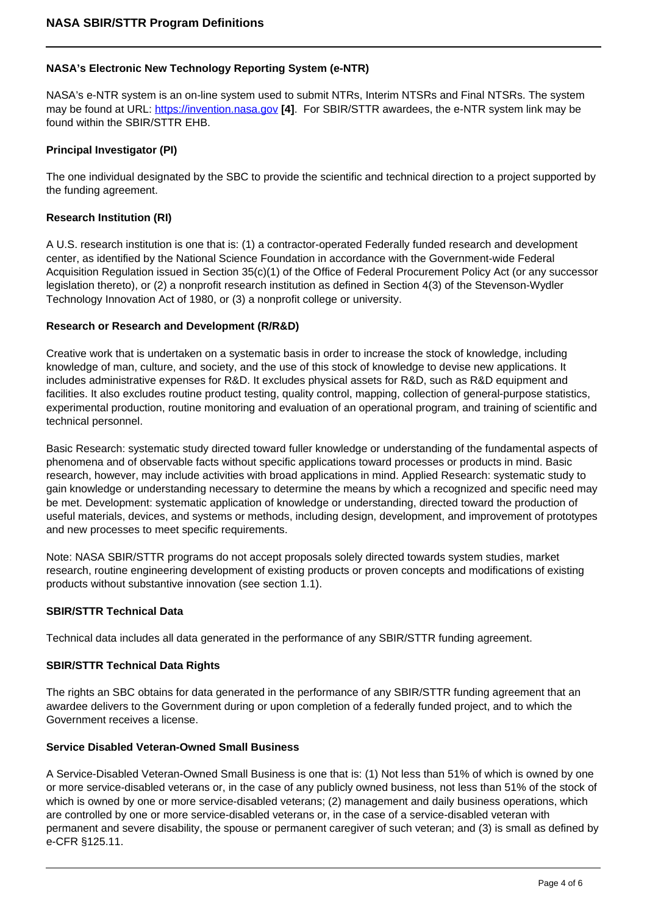# **NASA's Electronic New Technology Reporting System (e-NTR)**

NASA's e-NTR system is an on-line system used to submit NTRs, Interim NTSRs and Final NTSRs. The system may be found at URL: https://invention.nasa.gov **[4]**. For SBIR/STTR awardees, the e-NTR system link may be found within the SBIR/STTR EHB.

## **Principal Investigator (PI)**

The one individual designated by the SBC to provide the scientific and technical direction to a project supported by the funding agreement.

#### **Research Institution (RI)**

A U.S. research institution is one that is: (1) a contractor-operated Federally funded research and development center, as identified by the National Science Foundation in accordance with the Government-wide Federal Acquisition Regulation issued in Section 35(c)(1) of the Office of Federal Procurement Policy Act (or any successor legislation thereto), or (2) a nonprofit research institution as defined in Section 4(3) of the Stevenson-Wydler Technology Innovation Act of 1980, or (3) a nonprofit college or university.

## **Research or Research and Development (R/R&D)**

Creative work that is undertaken on a systematic basis in order to increase the stock of knowledge, including knowledge of man, culture, and society, and the use of this stock of knowledge to devise new applications. It includes administrative expenses for R&D. It excludes physical assets for R&D, such as R&D equipment and facilities. It also excludes routine product testing, quality control, mapping, collection of general-purpose statistics, experimental production, routine monitoring and evaluation of an operational program, and training of scientific and technical personnel.

Basic Research: systematic study directed toward fuller knowledge or understanding of the fundamental aspects of phenomena and of observable facts without specific applications toward processes or products in mind. Basic research, however, may include activities with broad applications in mind. Applied Research: systematic study to gain knowledge or understanding necessary to determine the means by which a recognized and specific need may be met. Development: systematic application of knowledge or understanding, directed toward the production of useful materials, devices, and systems or methods, including design, development, and improvement of prototypes and new processes to meet specific requirements.

Note: NASA SBIR/STTR programs do not accept proposals solely directed towards system studies, market research, routine engineering development of existing products or proven concepts and modifications of existing products without substantive innovation (see section 1.1).

#### **SBIR/STTR Technical Data**

Technical data includes all data generated in the performance of any SBIR/STTR funding agreement.

## **SBIR/STTR Technical Data Rights**

The rights an SBC obtains for data generated in the performance of any SBIR/STTR funding agreement that an awardee delivers to the Government during or upon completion of a federally funded project, and to which the Government receives a license.

#### **Service Disabled Veteran-Owned Small Business**

A Service-Disabled Veteran-Owned Small Business is one that is: (1) Not less than 51% of which is owned by one or more service-disabled veterans or, in the case of any publicly owned business, not less than 51% of the stock of which is owned by one or more service-disabled veterans; (2) management and daily business operations, which are controlled by one or more service-disabled veterans or, in the case of a service-disabled veteran with permanent and severe disability, the spouse or permanent caregiver of such veteran; and (3) is small as defined by e-CFR §125.11.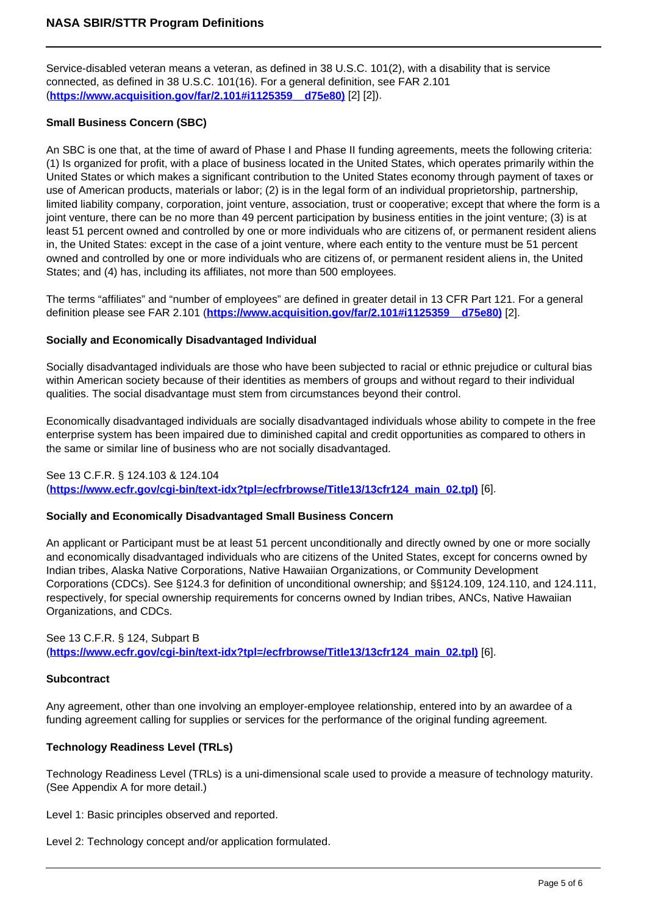Service-disabled veteran means a veteran, as defined in 38 U.S.C. 101(2), with a disability that is service connected, as defined in 38 U.S.C. 101(16). For a general definition, see FAR 2.101 (**https://www.acquisition.gov/far/2.101#i1125359\_\_d75e80)** [2] [2]).

# **Small Business Concern (SBC)**

An SBC is one that, at the time of award of Phase I and Phase II funding agreements, meets the following criteria: (1) Is organized for profit, with a place of business located in the United States, which operates primarily within the United States or which makes a significant contribution to the United States economy through payment of taxes or use of American products, materials or labor; (2) is in the legal form of an individual proprietorship, partnership, limited liability company, corporation, joint venture, association, trust or cooperative; except that where the form is a joint venture, there can be no more than 49 percent participation by business entities in the joint venture; (3) is at least 51 percent owned and controlled by one or more individuals who are citizens of, or permanent resident aliens in, the United States: except in the case of a joint venture, where each entity to the venture must be 51 percent owned and controlled by one or more individuals who are citizens of, or permanent resident aliens in, the United States; and (4) has, including its affiliates, not more than 500 employees.

The terms "affiliates" and "number of employees" are defined in greater detail in 13 CFR Part 121. For a general definition please see FAR 2.101 (**https://www.acquisition.gov/far/2.101#i1125359\_\_d75e80)** [2].

## **Socially and Economically Disadvantaged Individual**

Socially disadvantaged individuals are those who have been subjected to racial or ethnic prejudice or cultural bias within American society because of their identities as members of groups and without regard to their individual qualities. The social disadvantage must stem from circumstances beyond their control.

Economically disadvantaged individuals are socially disadvantaged individuals whose ability to compete in the free enterprise system has been impaired due to diminished capital and credit opportunities as compared to others in the same or similar line of business who are not socially disadvantaged.

## See 13 C.F.R. § 124.103 & 124.104

(**https://www.ecfr.gov/cgi-bin/text-idx?tpl=/ecfrbrowse/Title13/13cfr124\_main\_02.tpl)** [6].

## **Socially and Economically Disadvantaged Small Business Concern**

An applicant or Participant must be at least 51 percent unconditionally and directly owned by one or more socially and economically disadvantaged individuals who are citizens of the United States, except for concerns owned by Indian tribes, Alaska Native Corporations, Native Hawaiian Organizations, or Community Development Corporations (CDCs). See §124.3 for definition of unconditional ownership; and §§124.109, 124.110, and 124.111, respectively, for special ownership requirements for concerns owned by Indian tribes, ANCs, Native Hawaiian Organizations, and CDCs.

## See 13 C.F.R. § 124, Subpart B (**https://www.ecfr.gov/cgi-bin/text-idx?tpl=/ecfrbrowse/Title13/13cfr124\_main\_02.tpl)** [6].

#### **Subcontract**

Any agreement, other than one involving an employer-employee relationship, entered into by an awardee of a funding agreement calling for supplies or services for the performance of the original funding agreement.

## **Technology Readiness Level (TRLs)**

Technology Readiness Level (TRLs) is a uni-dimensional scale used to provide a measure of technology maturity. (See Appendix A for more detail.)

Level 1: Basic principles observed and reported.

Level 2: Technology concept and/or application formulated.